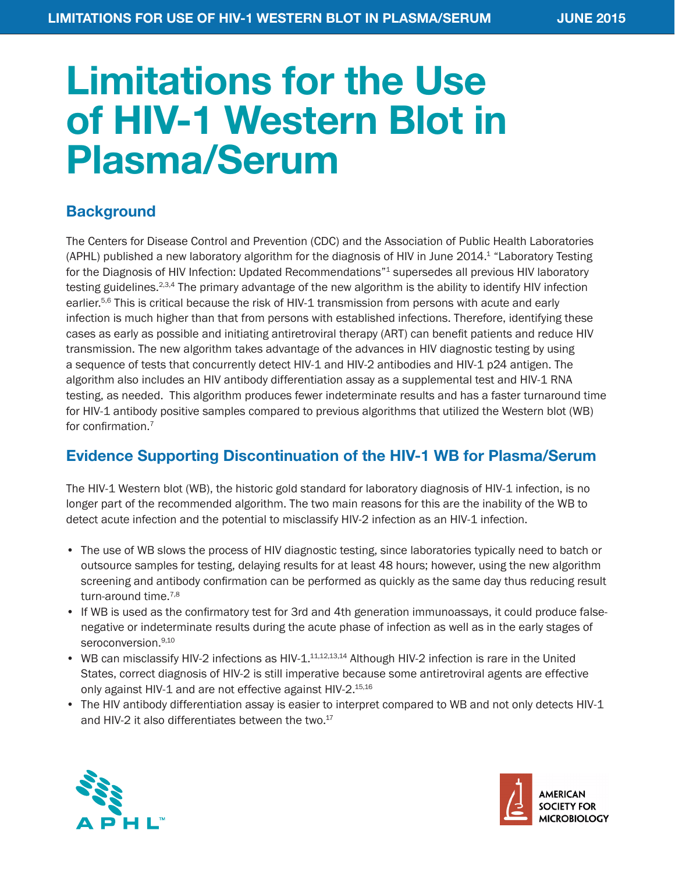# Limitations for the Use of HIV-1 Western Blot in Plasma/Serum

#### **Background**

The Centers for Disease Control and Prevention (CDC) and the Association of Public Health Laboratories (APHL) published a new laboratory algorithm for the diagnosis of HIV in June 2014.1 "Laboratory Testing for the Diagnosis of HIV Infection: Updated Recommendations"<sup>1</sup> supersedes all previous HIV laboratory testing guidelines.<sup>2,3,4</sup> The primary advantage of the new algorithm is the ability to identify HIV infection earlier.<sup>5,6</sup> This is critical because the risk of HIV-1 transmission from persons with acute and early infection is much higher than that from persons with established infections. Therefore, identifying these cases as early as possible and initiating antiretroviral therapy (ART) can benefit patients and reduce HIV transmission. The new algorithm takes advantage of the advances in HIV diagnostic testing by using a sequence of tests that concurrently detect HIV-1 and HIV-2 antibodies and HIV-1 p24 antigen. The algorithm also includes an HIV antibody differentiation assay as a supplemental test and HIV-1 RNA testing, as needed. This algorithm produces fewer indeterminate results and has a faster turnaround time for HIV-1 antibody positive samples compared to previous algorithms that utilized the Western blot (WB) for confirmation.<sup>7</sup>

## Evidence Supporting Discontinuation of the HIV-1 WB for Plasma/Serum

The HIV-1 Western blot (WB), the historic gold standard for laboratory diagnosis of HIV-1 infection, is no longer part of the recommended algorithm. The two main reasons for this are the inability of the WB to detect acute infection and the potential to misclassify HIV-2 infection as an HIV-1 infection.

- The use of WB slows the process of HIV diagnostic testing, since laboratories typically need to batch or outsource samples for testing, delaying results for at least 48 hours; however, using the new algorithm screening and antibody confirmation can be performed as quickly as the same day thus reducing result turn-around time.<sup>7,8</sup>
- If WB is used as the confirmatory test for 3rd and 4th generation immunoassays, it could produce falsenegative or indeterminate results during the acute phase of infection as well as in the early stages of seroconversion.<sup>9,10</sup>
- WB can misclassify HIV-2 infections as HIV-1.<sup>11,12,13,14</sup> Although HIV-2 infection is rare in the United States, correct diagnosis of HIV-2 is still imperative because some antiretroviral agents are effective only against HIV-1 and are not effective against HIV-2.<sup>15,16</sup>
- The HIV antibody differentiation assay is easier to interpret compared to WB and not only detects HIV-1 and HIV-2 it also differentiates between the two.<sup>17</sup>



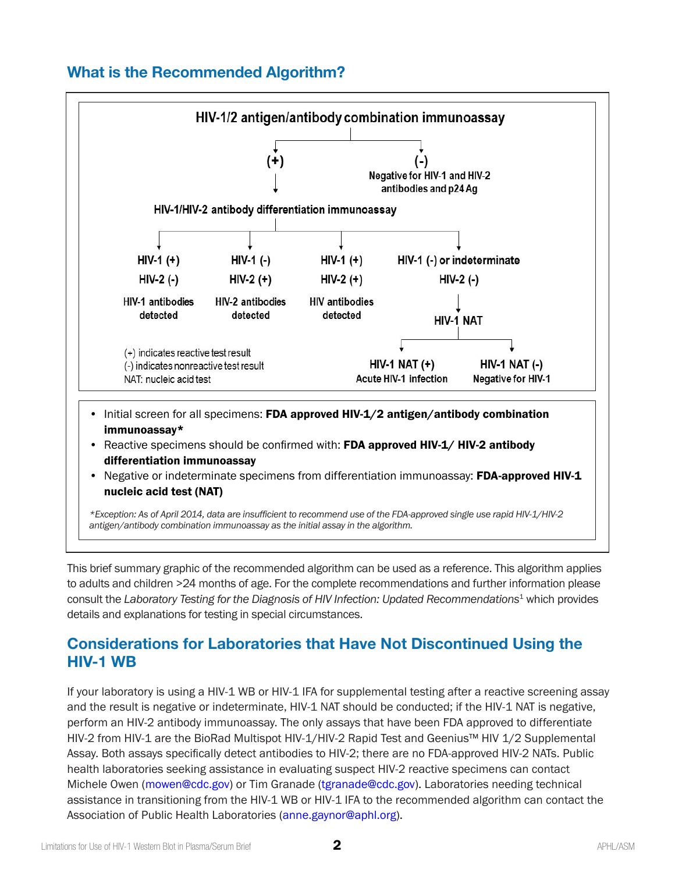#### What is the Recommended Algorithm?



This brief summary graphic of the recommended algorithm can be used as a reference. This algorithm applies to adults and children >24 months of age. For the complete recommendations and further information please consult the Laboratory Testing for the Diagnosis of HIV Infection: Updated Recommendations<sup>1</sup> which provides details and explanations for testing in special circumstances.

#### Considerations for Laboratories that Have Not Discontinued Using the HIV-1 WB

If your laboratory is using a HIV-1 WB or HIV-1 IFA for supplemental testing after a reactive screening assay and the result is negative or indeterminate, HIV-1 NAT should be conducted; if the HIV-1 NAT is negative, perform an HIV-2 antibody immunoassay. The only assays that have been FDA approved to differentiate HIV-2 from HIV-1 are the BioRad Multispot HIV-1/HIV-2 Rapid Test and Geenius™ HIV 1/2 Supplemental Assay. Both assays specifically detect antibodies to HIV-2; there are no FDA-approved HIV-2 NATs. Public health laboratories seeking assistance in evaluating suspect HIV-2 reactive specimens can contact Michele Owen ([mowen@cdc.gov](mailto:mowen%40cdc.gov?subject=)) or Tim Granade ([tgranade@cdc.gov\)](mailto:tgranade%40cdc.gov?subject=). Laboratories needing technical assistance in transitioning from the HIV-1 WB or HIV-1 IFA to the recommended algorithm can contact the Association of Public Health Laboratories ([anne.gaynor@aphl.org](mailto:anne.gaynor%40aphl.org?subject=)).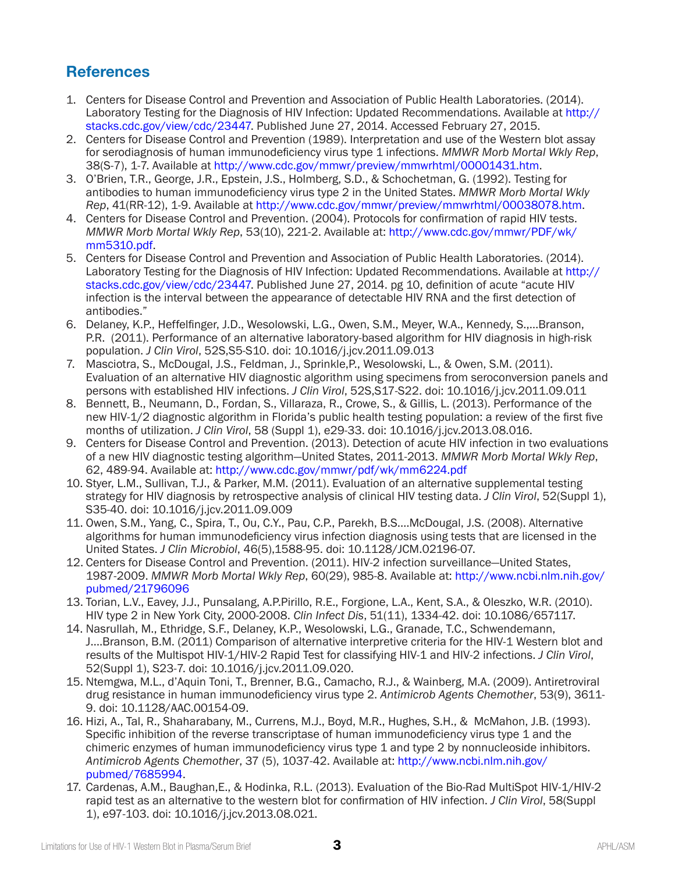## **References**

- 1. Centers for Disease Control and Prevention and Association of Public Health Laboratories. (2014). Laboratory Testing for the Diagnosis of HIV Infection: Updated Recommendations. Available at [http://](http://stacks.cdc.gov/view/cdc/23447) [stacks.cdc.gov/view/cdc/23447](http://stacks.cdc.gov/view/cdc/23447). Published June 27, 2014. Accessed February 27, 2015.
- 2. Centers for Disease Control and Prevention (1989). Interpretation and use of the Western blot assay for serodiagnosis of human immunodeficiency virus type 1 infections. *MMWR Morb Mortal Wkly Rep*, 38(S-7), 1-7. Available at<http://www.cdc.gov/mmwr/preview/mmwrhtml/00001431.htm>.
- 3. O'Brien, T.R., George, J.R., Epstein, J.S., Holmberg, S.D., & Schochetman, G. (1992). Testing for antibodies to human immunodeficiency virus type 2 in the United States. *MMWR Morb Mortal Wkly Rep*, 41(RR-12), 1-9. Available at<http://www.cdc.gov/mmwr/preview/mmwrhtml/00038078.htm>.
- 4. Centers for Disease Control and Prevention. (2004). Protocols for confirmation of rapid HIV tests. *MMWR Morb Mortal Wkly Rep*, 53(10), 221-2. Available at: [http://www.cdc.gov/mmwr/PDF/wk/](http://www.cdc.gov/mmwr/PDF/wk/mm5310.pdf) [mm5310.pdf.](http://www.cdc.gov/mmwr/PDF/wk/mm5310.pdf)
- 5. Centers for Disease Control and Prevention and Association of Public Health Laboratories. (2014). Laboratory Testing for the Diagnosis of HIV Infection: Updated Recommendations. Available at [http://](http://stacks.cdc.gov/view/cdc/23447) [stacks.cdc.gov/view/cdc/23447](http://stacks.cdc.gov/view/cdc/23447). Published June 27, 2014. pg 10, definition of acute "acute HIV infection is the interval between the appearance of detectable HIV RNA and the first detection of antibodies."
- 6. Delaney, K.P., Heffelfinger, J.D., Wesolowski, L.G., Owen, S.M., Meyer, W.A., Kennedy, S.,…Branson, P.R. (2011). Performance of an alternative laboratory-based algorithm for HIV diagnosis in high-risk population. *J Clin Virol*, 52S,S5-S10. doi: 10.1016/j.jcv.2011.09.013
- 7. Masciotra, S., McDougal, J.S., Feldman, J., Sprinkle,P., Wesolowski, L., & Owen, S.M. (2011). Evaluation of an alternative HIV diagnostic algorithm using specimens from seroconversion panels and persons with established HIV infections. *J Clin Virol*, 52S,S17-S22. doi: 10.1016/j.jcv.2011.09.011
- 8. Bennett, B., Neumann, D., Fordan, S., Villaraza, R., Crowe, S., & Gillis, L. (2013). Performance of the new HIV-1/2 diagnostic algorithm in Florida's public health testing population: a review of the first five months of utilization. *J Clin Virol*, 58 (Suppl 1), e29-33. doi: 10.1016/j.jcv.2013.08.016.
- 9. Centers for Disease Control and Prevention. (2013). Detection of acute HIV infection in two evaluations of a new HIV diagnostic testing algorithm—United States, 2011-2013. *MMWR Morb Mortal Wkly Rep*, 62, 489-94. Available at: <http://www.cdc.gov/mmwr/pdf/wk/mm6224.pdf>
- 10. Styer, L.M., Sullivan, T.J., & Parker, M.M. (2011). Evaluation of an alternative supplemental testing strategy for HIV diagnosis by retrospective analysis of clinical HIV testing data. *J Clin Virol*, 52(Suppl 1), S35-40. doi: 10.1016/j.jcv.2011.09.009
- 11. Owen, S.M., Yang, C., Spira, T., Ou, C.Y., Pau, C.P., Parekh, B.S.…McDougal, J.S. (2008). Alternative algorithms for human immunodeficiency virus infection diagnosis using tests that are licensed in the United States. *J Clin Microbiol*, 46(5),1588-95. doi: 10.1128/JCM.02196-07.
- 12. Centers for Disease Control and Prevention. (2011). HIV-2 infection surveillance—United States, 1987-2009. *MMWR Morb Mortal Wkly Rep*, 60(29), 985-8. Available at: [http://www.ncbi.nlm.nih.gov/](http://www.ncbi.nlm.nih.gov/pubmed/21796096) [pubmed/21796096](http://www.ncbi.nlm.nih.gov/pubmed/21796096)
- 13. Torian, L.V., Eavey, J.J., Punsalang, A.P.Pirillo, R.E., Forgione, L.A., Kent, S.A., & Oleszko, W.R. (2010). HIV type 2 in New York City, 2000-2008. *Clin Infect Dis*, 51(11), 1334-42. doi: 10.1086/657117.
- 14. Nasrullah, M., Ethridge, S.F., Delaney, K.P., Wesolowski, L.G., Granade, T.C., Schwendemann, J….Branson, B.M. (2011) Comparison of alternative interpretive criteria for the HIV-1 Western blot and results of the Multispot HIV-1/HIV-2 Rapid Test for classifying HIV-1 and HIV-2 infections. *J Clin Virol*, 52(Suppl 1), S23-7. doi: 10.1016/j.jcv.2011.09.020.
- 15. Ntemgwa, M.L., d'Aquin Toni, T., Brenner, B.G., Camacho, R.J., & Wainberg, M.A. (2009). Antiretroviral drug resistance in human immunodeficiency virus type 2. *Antimicrob Agents Chemother*, 53(9), 3611- 9. doi: 10.1128/AAC.00154-09.
- 16. Hizi, A., Tal, R., Shaharabany, M., Currens, M.J., Boyd, M.R., Hughes, S.H., & McMahon, J.B. (1993). Specific inhibition of the reverse transcriptase of human immunodeficiency virus type 1 and the chimeric enzymes of human immunodeficiency virus type 1 and type 2 by nonnucleoside inhibitors. *Antimicrob Agents Chemother*, 37 (5), 1037-42. Available at: [http://www.ncbi.nlm.nih.gov/](http://www.ncbi.nlm.nih.gov/pubmed/7685994) [pubmed/7685994.](http://www.ncbi.nlm.nih.gov/pubmed/7685994)
- 17. Cardenas, A.M., Baughan,E., & Hodinka, R.L. (2013). Evaluation of the Bio-Rad MultiSpot HIV-1/HIV-2 rapid test as an alternative to the western blot for confirmation of HIV infection. *J Clin Virol*, 58(Suppl 1), e97-103. doi: 10.1016/j.jcv.2013.08.021.